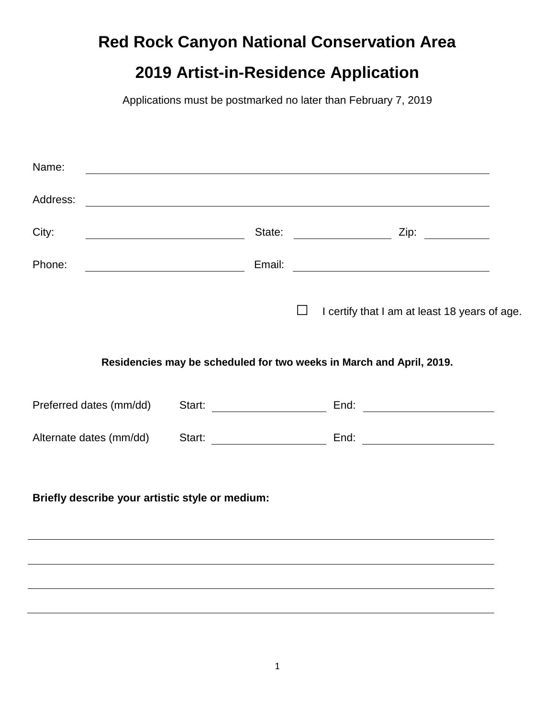# **Red Rock Canyon National Conservation Area**

# **2019 Artist-in-Residence Application**

Applications must be postmarked no later than February 7, 2019

| Name:                                           |  |        |                                                                                  |  |
|-------------------------------------------------|--|--------|----------------------------------------------------------------------------------|--|
| Address:                                        |  |        | ,我们也不会有什么。""我们的人,我们也不会有什么?""我们的人,我们也不会有什么?""我们的人,我们的人,我们的人,我们的人,我们的人,我们的人,我们的人,我 |  |
| City:                                           |  |        |                                                                                  |  |
| Phone:                                          |  |        |                                                                                  |  |
|                                                 |  | $\Box$ | I certify that I am at least 18 years of age.                                    |  |
|                                                 |  |        | Residencies may be scheduled for two weeks in March and April, 2019.             |  |
| Preferred dates (mm/dd)                         |  |        |                                                                                  |  |
| Alternate dates (mm/dd)                         |  |        |                                                                                  |  |
| Briefly describe your artistic style or medium: |  |        |                                                                                  |  |
|                                                 |  |        |                                                                                  |  |
|                                                 |  |        |                                                                                  |  |
|                                                 |  |        |                                                                                  |  |

 $\overline{a}$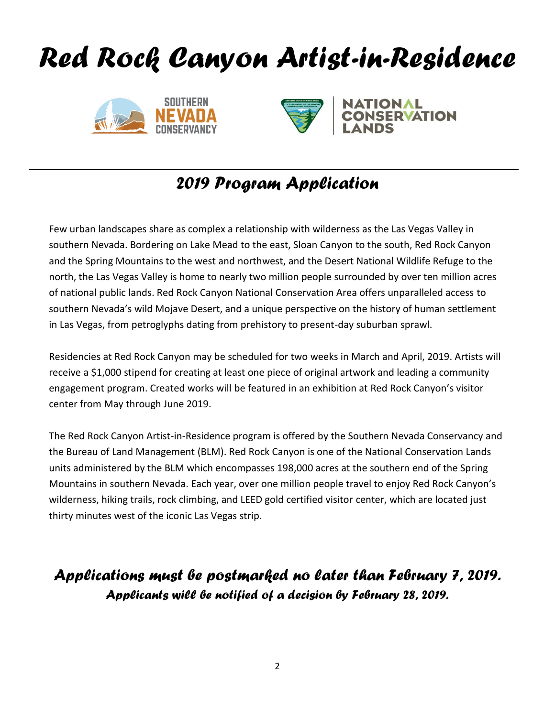





# *2019 Program Application*

Few urban landscapes share as complex a relationship with wilderness as the Las Vegas Valley in southern Nevada. Bordering on Lake Mead to the east, Sloan Canyon to the south, Red Rock Canyon and the Spring Mountains to the west and northwest, and the Desert National Wildlife Refuge to the north, the Las Vegas Valley is home to nearly two million people surrounded by over ten million acres of national public lands. Red Rock Canyon National Conservation Area offers unparalleled access to southern Nevada's wild Mojave Desert, and a unique perspective on the history of human settlement in Las Vegas, from petroglyphs dating from prehistory to present-day suburban sprawl.

Residencies at Red Rock Canyon may be scheduled for two weeks in March and April, 2019. Artists will receive a \$1,000 stipend for creating at least one piece of original artwork and leading a community engagement program. Created works will be featured in an exhibition at Red Rock Canyon's visitor center from May through June 2019.

The Red Rock Canyon Artist-in-Residence program is offered by the Southern Nevada Conservancy and the Bureau of Land Management (BLM). Red Rock Canyon is one of the National Conservation Lands units administered by the BLM which encompasses 198,000 acres at the southern end of the Spring Mountains in southern Nevada. Each year, over one million people travel to enjoy Red Rock Canyon's wilderness, hiking trails, rock climbing, and LEED gold certified visitor center, which are located just thirty minutes west of the iconic Las Vegas strip.

## *Applications must be postmarked no later than February 7, 2019. Applicants will be notified of a decision by February 28, 2019.*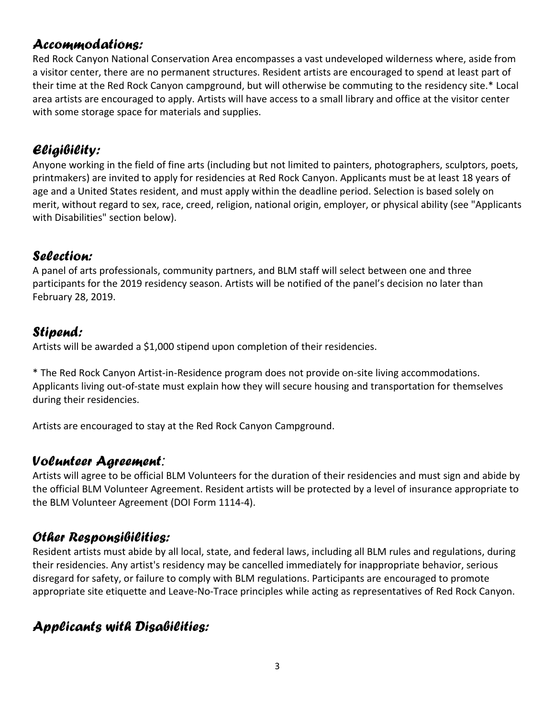#### *Accommodations:*

Red Rock Canyon National Conservation Area encompasses a vast undeveloped wilderness where, aside from a visitor center, there are no permanent structures. Resident artists are encouraged to spend at least part of their time at the Red Rock Canyon campground, but will otherwise be commuting to the residency site.\* Local area artists are encouraged to apply. Artists will have access to a small library and office at the visitor center with some storage space for materials and supplies.

#### *Eligibility:*

Anyone working in the field of fine arts (including but not limited to painters, photographers, sculptors, poets, printmakers) are invited to apply for residencies at Red Rock Canyon. Applicants must be at least 18 years of age and a United States resident, and must apply within the deadline period. Selection is based solely on merit, without regard to sex, race, creed, religion, national origin, employer, or physical ability (see "Applicants with Disabilities" section below).

#### *Selection:*

A panel of arts professionals, community partners, and BLM staff will select between one and three participants for the 2019 residency season. Artists will be notified of the panel's decision no later than February 28, 2019.

#### *Stipend:*

Artists will be awarded a \$1,000 stipend upon completion of their residencies.

\* The Red Rock Canyon Artist-in-Residence program does not provide on-site living accommodations. Applicants living out-of-state must explain how they will secure housing and transportation for themselves during their residencies.

Artists are encouraged to stay at the Red Rock Canyon Campground.

#### *Volunteer Agreement:*

Artists will agree to be official BLM Volunteers for the duration of their residencies and must sign and abide by the official BLM Volunteer Agreement. Resident artists will be protected by a level of insurance appropriate to the BLM Volunteer Agreement (DOI Form 1114-4).

#### *Other Responsibilities:*

Resident artists must abide by all local, state, and federal laws, including all BLM rules and regulations, during their residencies. Any artist's residency may be cancelled immediately for inappropriate behavior, serious disregard for safety, or failure to comply with BLM regulations. Participants are encouraged to promote appropriate site etiquette and Leave-No-Trace principles while acting as representatives of Red Rock Canyon.

#### *Applicants with Disabilities:*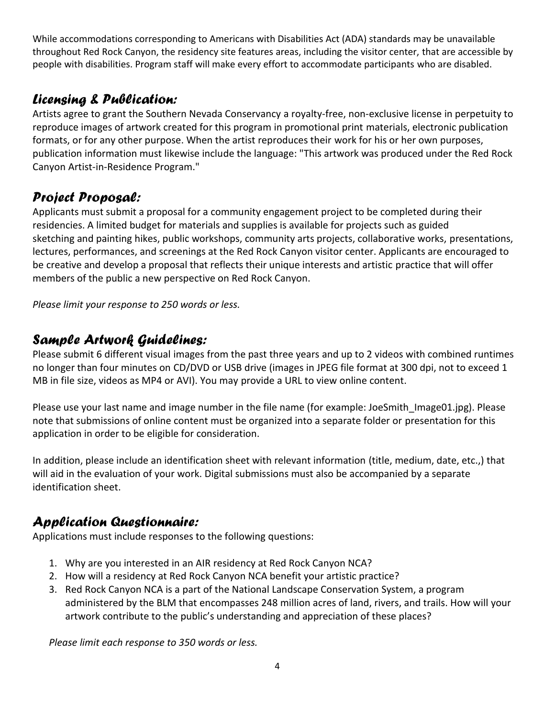While accommodations corresponding to Americans with Disabilities Act (ADA) standards may be unavailable throughout Red Rock Canyon, the residency site features areas, including the visitor center, that are accessible by people with disabilities. Program staff will make every effort to accommodate participants who are disabled.

#### *Licensing & Publication:*

Artists agree to grant the Southern Nevada Conservancy a royalty-free, non-exclusive license in perpetuity to reproduce images of artwork created for this program in promotional print materials, electronic publication formats, or for any other purpose. When the artist reproduces their work for his or her own purposes, publication information must likewise include the language: "This artwork was produced under the Red Rock Canyon Artist-in-Residence Program."

### *Project Proposal:*

Applicants must submit a proposal for a community engagement project to be completed during their residencies. A limited budget for materials and supplies is available for projects such as guided sketching and painting hikes, public workshops, community arts projects, collaborative works, presentations, lectures, performances, and screenings at the Red Rock Canyon visitor center. Applicants are encouraged to be creative and develop a proposal that reflects their unique interests and artistic practice that will offer members of the public a new perspective on Red Rock Canyon.

*Please limit your response to 250 words or less.*

#### *Sample Artwork Guidelines:*

Please submit 6 different visual images from the past three years and up to 2 videos with combined runtimes no longer than four minutes on CD/DVD or USB drive (images in JPEG file format at 300 dpi, not to exceed 1 MB in file size, videos as MP4 or AVI). You may provide a URL to view online content.

Please use your last name and image number in the file name (for example: JoeSmith Image01.jpg). Please note that submissions of online content must be organized into a separate folder or presentation for this application in order to be eligible for consideration.

In addition, please include an identification sheet with relevant information (title, medium, date, etc.,) that will aid in the evaluation of your work. Digital submissions must also be accompanied by a separate identification sheet.

### *Application Questionnaire:*

Applications must include responses to the following questions:

- 1. Why are you interested in an AIR residency at Red Rock Canyon NCA?
- 2. How will a residency at Red Rock Canyon NCA benefit your artistic practice?
- 3. Red Rock Canyon NCA is a part of the National Landscape Conservation System, a program administered by the BLM that encompasses 248 million acres of land, rivers, and trails. How will your artwork contribute to the public's understanding and appreciation of these places?

*Please limit each response to 350 words or less.*